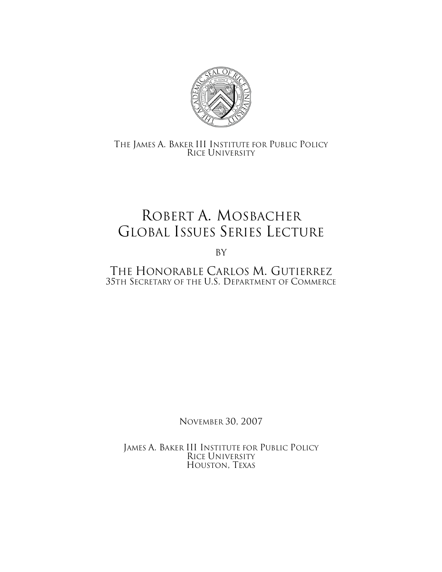

## THE JAMES A. BAKER III INSTITUTE FOR PUBLIC POLICY RICE UNIVERSITY

## ROBERT A. MOSBACHER GLOBAL ISSUES SERIES LECTURE

By

THE HONORABLE CARLOS M. GUTIERREZ 35TH SECRETARY OF THE U.S. DEPARTMENT OF COMMERCE

NOVEMBER 30, 2007

JAMES A. BAKER III INSTITUTE FOR PUBLIC POLICY RICE UNIVERSITY HOUSTON, TEXAS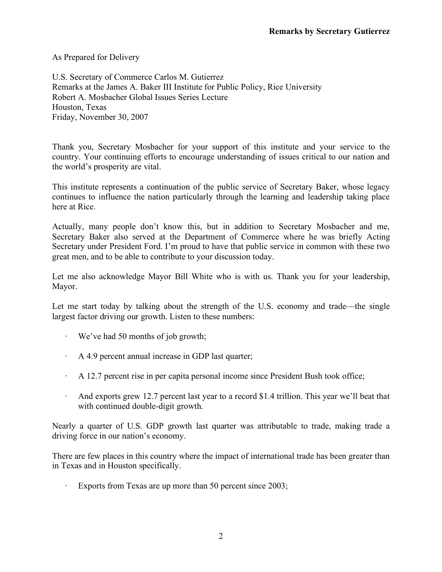As Prepared for Delivery

U.S. Secretary of Commerce Carlos M. Gutierrez Remarks at the James A. Baker III Institute for Public Policy, Rice University Robert A. Mosbacher Global Issues Series Lecture Houston, Texas Friday, November 30, 2007

Thank you, Secretary Mosbacher for your support of this institute and your service to the country. Your continuing efforts to encourage understanding of issues critical to our nation and the world's prosperity are vital.

This institute represents a continuation of the public service of Secretary Baker, whose legacy continues to influence the nation particularly through the learning and leadership taking place here at Rice.

Actually, many people don't know this, but in addition to Secretary Mosbacher and me, Secretary Baker also served at the Department of Commerce where he was briefly Acting Secretary under President Ford. I'm proud to have that public service in common with these two great men, and to be able to contribute to your discussion today.

Let me also acknowledge Mayor Bill White who is with us. Thank you for your leadership, Mayor.

Let me start today by talking about the strength of the U.S. economy and trade—the single largest factor driving our growth. Listen to these numbers:

- · We've had 50 months of job growth;
- · A 4.9 percent annual increase in GDP last quarter;
- · A 12.7 percent rise in per capita personal income since President Bush took office;
- And exports grew 12.7 percent last year to a record \$1.4 trillion. This year we'll beat that with continued double-digit growth.

Nearly a quarter of U.S. GDP growth last quarter was attributable to trade, making trade a driving force in our nation's economy.

There are few places in this country where the impact of international trade has been greater than in Texas and in Houston specifically.

Exports from Texas are up more than 50 percent since 2003;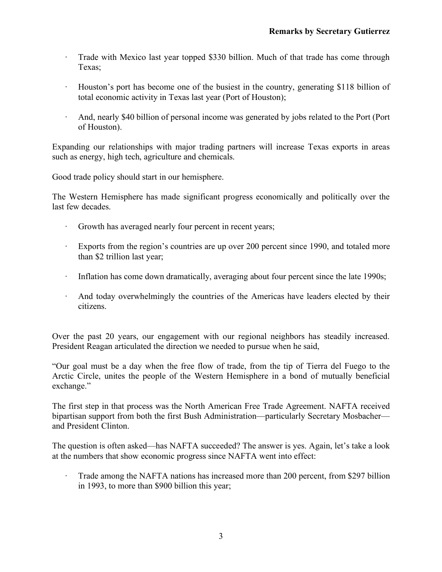- · Trade with Mexico last year topped \$330 billion. Much of that trade has come through Texas;
- · Houston's port has become one of the busiest in the country, generating \$118 billion of total economic activity in Texas last year (Port of Houston);
- · And, nearly \$40 billion of personal income was generated by jobs related to the Port (Port of Houston).

Expanding our relationships with major trading partners will increase Texas exports in areas such as energy, high tech, agriculture and chemicals.

Good trade policy should start in our hemisphere.

The Western Hemisphere has made significant progress economically and politically over the last few decades.

- · Growth has averaged nearly four percent in recent years;
- · Exports from the region's countries are up over 200 percent since 1990, and totaled more than \$2 trillion last year;
- · Inflation has come down dramatically, averaging about four percent since the late 1990s;
- · And today overwhelmingly the countries of the Americas have leaders elected by their citizens.

Over the past 20 years, our engagement with our regional neighbors has steadily increased. President Reagan articulated the direction we needed to pursue when he said,

"Our goal must be a day when the free flow of trade, from the tip of Tierra del Fuego to the Arctic Circle, unites the people of the Western Hemisphere in a bond of mutually beneficial exchange."

The first step in that process was the North American Free Trade Agreement. NAFTA received bipartisan support from both the first Bush Administration—particularly Secretary Mosbacher and President Clinton.

The question is often asked—has NAFTA succeeded? The answer is yes. Again, let's take a look at the numbers that show economic progress since NAFTA went into effect:

Trade among the NAFTA nations has increased more than 200 percent, from \$297 billion in 1993, to more than \$900 billion this year;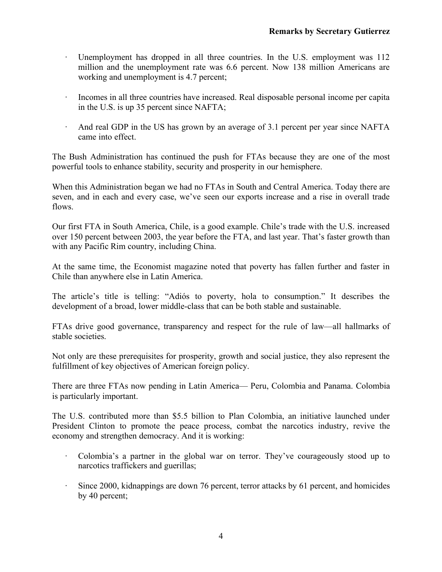- Unemployment has dropped in all three countries. In the U.S. employment was 112 million and the unemployment rate was 6.6 percent. Now 138 million Americans are working and unemployment is 4.7 percent;
- · Incomes in all three countries have increased. Real disposable personal income per capita in the U.S. is up 35 percent since NAFTA;
- · And real GDP in the US has grown by an average of 3.1 percent per year since NAFTA came into effect.

The Bush Administration has continued the push for FTAs because they are one of the most powerful tools to enhance stability, security and prosperity in our hemisphere.

When this Administration began we had no FTAs in South and Central America. Today there are seven, and in each and every case, we've seen our exports increase and a rise in overall trade flows.

Our first FTA in South America, Chile, is a good example. Chile's trade with the U.S. increased over 150 percent between 2003, the year before the FTA, and last year. That's faster growth than with any Pacific Rim country, including China.

At the same time, the Economist magazine noted that poverty has fallen further and faster in Chile than anywhere else in Latin America.

The article's title is telling: "Adiós to poverty, hola to consumption." It describes the development of a broad, lower middle-class that can be both stable and sustainable.

FTAs drive good governance, transparency and respect for the rule of law—all hallmarks of stable societies.

Not only are these prerequisites for prosperity, growth and social justice, they also represent the fulfillment of key objectives of American foreign policy.

There are three FTAs now pending in Latin America— Peru, Colombia and Panama. Colombia is particularly important.

The U.S. contributed more than \$5.5 billion to Plan Colombia, an initiative launched under President Clinton to promote the peace process, combat the narcotics industry, revive the economy and strengthen democracy. And it is working:

- · Colombia's a partner in the global war on terror. They've courageously stood up to narcotics traffickers and guerillas;
- · Since 2000, kidnappings are down 76 percent, terror attacks by 61 percent, and homicides by 40 percent;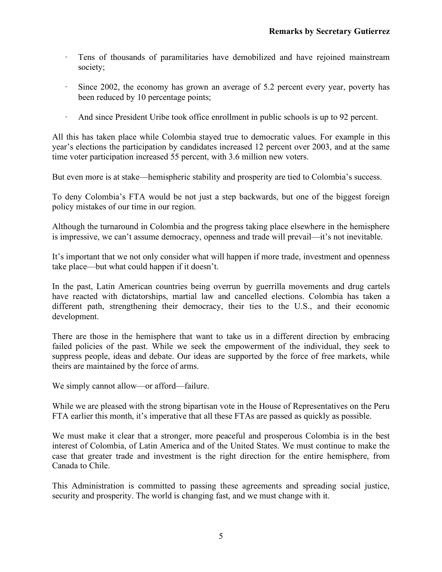- · Tens of thousands of paramilitaries have demobilized and have rejoined mainstream society;
- · Since 2002, the economy has grown an average of 5.2 percent every year, poverty has been reduced by 10 percentage points;
- · And since President Uribe took office enrollment in public schools is up to 92 percent.

All this has taken place while Colombia stayed true to democratic values. For example in this year's elections the participation by candidates increased 12 percent over 2003, and at the same time voter participation increased 55 percent, with 3.6 million new voters.

But even more is at stake—hemispheric stability and prosperity are tied to Colombia's success.

To deny Colombia's FTA would be not just a step backwards, but one of the biggest foreign policy mistakes of our time in our region.

Although the turnaround in Colombia and the progress taking place elsewhere in the hemisphere is impressive, we can't assume democracy, openness and trade will prevail—it's not inevitable.

It's important that we not only consider what will happen if more trade, investment and openness take place—but what could happen if it doesn't.

In the past, Latin American countries being overrun by guerrilla movements and drug cartels have reacted with dictatorships, martial law and cancelled elections. Colombia has taken a different path, strengthening their democracy, their ties to the U.S., and their economic development.

There are those in the hemisphere that want to take us in a different direction by embracing failed policies of the past. While we seek the empowerment of the individual, they seek to suppress people, ideas and debate. Our ideas are supported by the force of free markets, while theirs are maintained by the force of arms.

We simply cannot allow—or afford—failure.

While we are pleased with the strong bipartisan vote in the House of Representatives on the Peru FTA earlier this month, it's imperative that all these FTAs are passed as quickly as possible.

We must make it clear that a stronger, more peaceful and prosperous Colombia is in the best interest of Colombia, of Latin America and of the United States. We must continue to make the case that greater trade and investment is the right direction for the entire hemisphere, from Canada to Chile.

This Administration is committed to passing these agreements and spreading social justice, security and prosperity. The world is changing fast, and we must change with it.